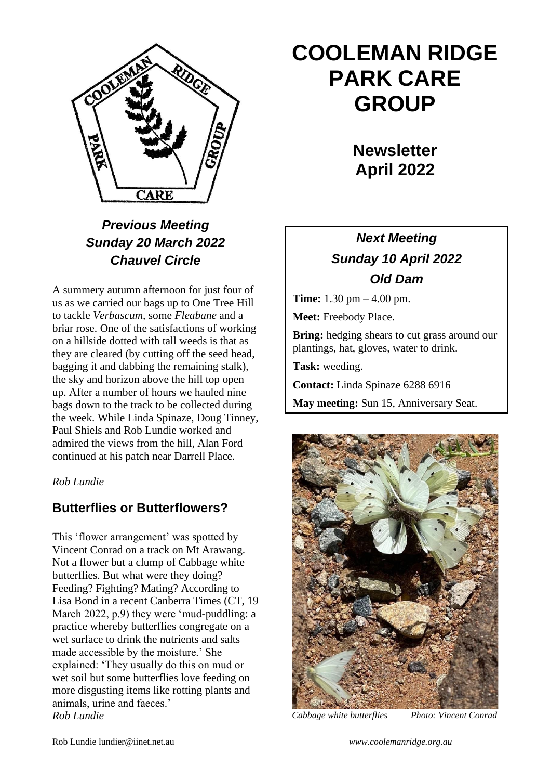

# *Previous Meeting Sunday 20 March 2022 Chauvel Circle*

A summery autumn afternoon for just four of us as we carried our bags up to One Tree Hill to tackle *Verbascum,* some *Fleabane* and a briar rose. One of the satisfactions of working on a hillside dotted with tall weeds is that as they are cleared (by cutting off the seed head, bagging it and dabbing the remaining stalk), the sky and horizon above the hill top open up. After a number of hours we hauled nine bags down to the track to be collected during the week. While Linda Spinaze, Doug Tinney, Paul Shiels and Rob Lundie worked and admired the views from the hill, Alan Ford continued at his patch near Darrell Place.

*Rob Lundie*

## **Butterflies or Butterflowers?**

This 'flower arrangement' was spotted by Vincent Conrad on a track on Mt Arawang. Not a flower but a clump of Cabbage white butterflies. But what were they doing? Feeding? Fighting? Mating? According to Lisa Bond in a recent Canberra Times (CT, 19 March 2022, p.9) they were 'mud-puddling: a practice whereby butterflies congregate on a wet surface to drink the nutrients and salts made accessible by the moisture.' She explained: 'They usually do this on mud or wet soil but some butterflies love feeding on more disgusting items like rotting plants and animals, urine and faeces.' *Rob Lundie Cabbage white butterflies Photo: Vincent Conrad*

# **COOLEMAN RIDGE PARK CARE GROUP**

**Newsletter April 2022** 

# *Next Meeting Sunday 10 April 2022 Old Dam*

**Time:** 1.30 pm – 4.00 pm.

**Meet:** Freebody Place.

**Bring:** hedging shears to cut grass around our plantings, hat, gloves, water to drink.

**Task:** weeding.

**Contact:** Linda Spinaze 6288 6916

**May meeting:** Sun 15, Anniversary Seat.